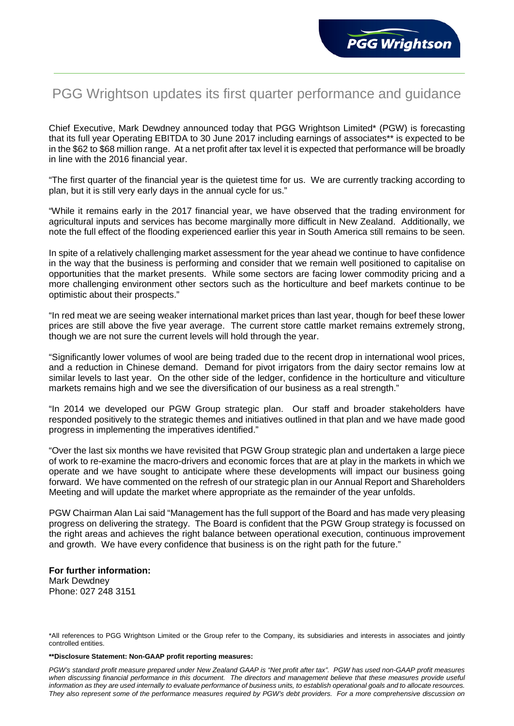# PGG Wrightson updates its first quarter performance and guidance

Chief Executive, Mark Dewdney announced today that PGG Wrightson Limited\* (PGW) is forecasting that its full year Operating EBITDA to 30 June 2017 including earnings of associates\*\* is expected to be in the \$62 to \$68 million range. At a net profit after tax level it is expected that performance will be broadly in line with the 2016 financial year.

"The first quarter of the financial year is the quietest time for us. We are currently tracking according to plan, but it is still very early days in the annual cycle for us."

"While it remains early in the 2017 financial year, we have observed that the trading environment for agricultural inputs and services has become marginally more difficult in New Zealand. Additionally, we note the full effect of the flooding experienced earlier this year in South America still remains to be seen.

In spite of a relatively challenging market assessment for the year ahead we continue to have confidence in the way that the business is performing and consider that we remain well positioned to capitalise on opportunities that the market presents. While some sectors are facing lower commodity pricing and a more challenging environment other sectors such as the horticulture and beef markets continue to be optimistic about their prospects."

"In red meat we are seeing weaker international market prices than last year, though for beef these lower prices are still above the five year average. The current store cattle market remains extremely strong, though we are not sure the current levels will hold through the year.

"Significantly lower volumes of wool are being traded due to the recent drop in international wool prices, and a reduction in Chinese demand. Demand for pivot irrigators from the dairy sector remains low at similar levels to last year. On the other side of the ledger, confidence in the horticulture and viticulture markets remains high and we see the diversification of our business as a real strength."

"In 2014 we developed our PGW Group strategic plan. Our staff and broader stakeholders have responded positively to the strategic themes and initiatives outlined in that plan and we have made good progress in implementing the imperatives identified."

"Over the last six months we have revisited that PGW Group strategic plan and undertaken a large piece of work to re-examine the macro-drivers and economic forces that are at play in the markets in which we operate and we have sought to anticipate where these developments will impact our business going forward. We have commented on the refresh of our strategic plan in our Annual Report and Shareholders Meeting and will update the market where appropriate as the remainder of the year unfolds.

PGW Chairman Alan Lai said "Management has the full support of the Board and has made very pleasing progress on delivering the strategy. The Board is confident that the PGW Group strategy is focussed on the right areas and achieves the right balance between operational execution, continuous improvement and growth. We have every confidence that business is on the right path for the future."

## **For further information:** Mark Dewdney Phone: 027 248 3151

### **\*\*Disclosure Statement: Non-GAAP profit reporting measures:**

*PGW's standard profit measure prepared under New Zealand GAAP is "Net profit after tax". PGW has used non-GAAP profit measures*  when discussing financial performance in this document. The directors and management believe that these measures provide useful *information as they are used internally to evaluate performance of business units, to establish operational goals and to allocate resources. They also represent some of the performance measures required by PGW's debt providers. For a more comprehensive discussion on* 

<sup>\*</sup>All references to PGG Wrightson Limited or the Group refer to the Company, its subsidiaries and interests in associates and jointly controlled entities.